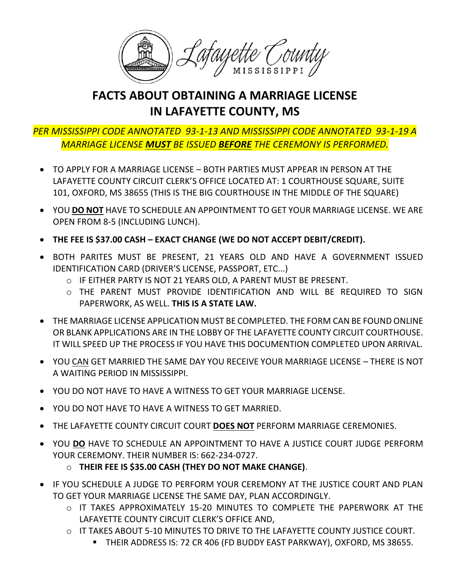

## **FACTS ABOUT OBTAINING A MARRIAGE LICENSE IN LAFAYETTE COUNTY, MS**

## *PER MISSISSIPPI CODE ANNOTATED 93-1-13 AND MISSISSIPPI CODE ANNOTATED 93-1-19 A MARRIAGE LICENSE MUST BE ISSUED BEFORE THE CEREMONY IS PERFORMED.*

- TO APPLY FOR A MARRIAGE LICENSE BOTH PARTIES MUST APPEAR IN PERSON AT THE LAFAYETTE COUNTY CIRCUIT CLERK'S OFFICE LOCATED AT: 1 COURTHOUSE SQUARE, SUITE 101, OXFORD, MS 38655 (THIS IS THE BIG COURTHOUSE IN THE MIDDLE OF THE SQUARE)
- YOU **DO NOT** HAVE TO SCHEDULE AN APPOINTMENT TO GET YOUR MARRIAGE LICENSE. WE ARE OPEN FROM 8-5 (INCLUDING LUNCH).
- **THE FEE IS \$37.00 CASH – EXACT CHANGE (WE DO NOT ACCEPT DEBIT/CREDIT).**
- BOTH PARITES MUST BE PRESENT, 21 YEARS OLD AND HAVE A GOVERNMENT ISSUED IDENTIFICATION CARD (DRIVER'S LICENSE, PASSPORT, ETC...)
	- o IF EITHER PARTY IS NOT 21 YEARS OLD, A PARENT MUST BE PRESENT.
	- o THE PARENT MUST PROVIDE IDENTIFICATION AND WILL BE REQUIRED TO SIGN PAPERWORK, AS WELL. **THIS IS A STATE LAW.**
- THE MARRIAGE LICENSE APPLICATION MUST BE COMPLETED. THE FORM CAN BE FOUND ONLINE OR BLANK APPLICATIONS ARE IN THE LOBBY OF THE LAFAYETTE COUNTY CIRCUIT COURTHOUSE. IT WILL SPEED UP THE PROCESS IF YOU HAVE THIS DOCUMENTION COMPLETED UPON ARRIVAL.
- YOU CAN GET MARRIED THE SAME DAY YOU RECEIVE YOUR MARRIAGE LICENSE THERE IS NOT A WAITING PERIOD IN MISSISSIPPI.
- YOU DO NOT HAVE TO HAVE A WITNESS TO GET YOUR MARRIAGE LICENSE.
- YOU DO NOT HAVE TO HAVE A WITNESS TO GET MARRIED.
- THE LAFAYETTE COUNTY CIRCUIT COURT **DOES NOT** PERFORM MARRIAGE CEREMONIES.
- YOU **DO** HAVE TO SCHEDULE AN APPOINTMENT TO HAVE A JUSTICE COURT JUDGE PERFORM YOUR CEREMONY. THEIR NUMBER IS: 662-234-0727.
	- o **THEIR FEE IS \$35.00 CASH (THEY DO NOT MAKE CHANGE)**.
- IF YOU SCHEDULE A JUDGE TO PERFORM YOUR CEREMONY AT THE JUSTICE COURT AND PLAN TO GET YOUR MARRIAGE LICENSE THE SAME DAY, PLAN ACCORDINGLY.
	- $\circ$  IT TAKES APPROXIMATELY 15-20 MINUTES TO COMPLETE THE PAPERWORK AT THE LAFAYETTE COUNTY CIRCUIT CLERK'S OFFICE AND,
	- o IT TAKES ABOUT 5-10 MINUTES TO DRIVE TO THE LAFAYETTE COUNTY JUSTICE COURT.
		- THEIR ADDRESS IS: 72 CR 406 (FD BUDDY EAST PARKWAY), OXFORD, MS 38655.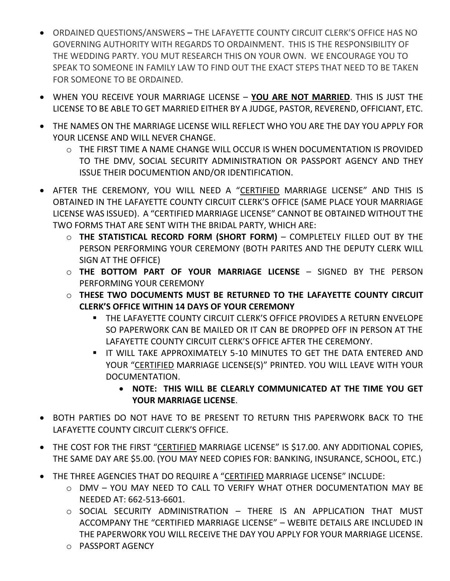- ORDAINED QUESTIONS/ANSWERS **–** THE LAFAYETTE COUNTY CIRCUIT CLERK'S OFFICE HAS NO GOVERNING AUTHORITY WITH REGARDS TO ORDAINMENT. THIS IS THE RESPONSIBILITY OF THE WEDDING PARTY. YOU MUT RESEARCH THIS ON YOUR OWN. WE ENCOURAGE YOU TO SPEAK TO SOMEONE IN FAMILY LAW TO FIND OUT THE EXACT STEPS THAT NEED TO BE TAKEN FOR SOMEONE TO BE ORDAINED.
- WHEN YOU RECEIVE YOUR MARRIAGE LICENSE **YOU ARE NOT MARRIED**. THIS IS JUST THE LICENSE TO BE ABLE TO GET MARRIED EITHER BY A JUDGE, PASTOR, REVEREND, OFFICIANT, ETC.
- THE NAMES ON THE MARRIAGE LICENSE WILL REFLECT WHO YOU ARE THE DAY YOU APPLY FOR YOUR LICENSE AND WILL NEVER CHANGE.
	- o THE FIRST TIME A NAME CHANGE WILL OCCUR IS WHEN DOCUMENTATION IS PROVIDED TO THE DMV, SOCIAL SECURITY ADMINISTRATION OR PASSPORT AGENCY AND THEY ISSUE THEIR DOCUMENTION AND/OR IDENTIFICATION.
- AFTER THE CEREMONY, YOU WILL NEED A "CERTIFIED MARRIAGE LICENSE" AND THIS IS OBTAINED IN THE LAFAYETTE COUNTY CIRCUIT CLERK'S OFFICE (SAME PLACE YOUR MARRIAGE LICENSE WAS ISSUED). A "CERTIFIED MARRIAGE LICENSE" CANNOT BE OBTAINED WITHOUT THE TWO FORMS THAT ARE SENT WITH THE BRIDAL PARTY, WHICH ARE:
	- o **THE STATISTICAL RECORD FORM (SHORT FORM)** COMPLETELY FILLED OUT BY THE PERSON PERFORMING YOUR CEREMONY (BOTH PARITES AND THE DEPUTY CLERK WILL SIGN AT THE OFFICE)
	- o **THE BOTTOM PART OF YOUR MARRIAGE LICENSE** SIGNED BY THE PERSON PERFORMING YOUR CEREMONY
	- o **THESE TWO DOCUMENTS MUST BE RETURNED TO THE LAFAYETTE COUNTY CIRCUIT CLERK'S OFFICE WITHIN 14 DAYS OF YOUR CEREMONY**
		- **EXAGE THE LAFAYETTE COUNTY CIRCUIT CLERK'S OFFICE PROVIDES A RETURN ENVELOPE** SO PAPERWORK CAN BE MAILED OR IT CAN BE DROPPED OFF IN PERSON AT THE LAFAYETTE COUNTY CIRCUIT CLERK'S OFFICE AFTER THE CEREMONY.
		- **.** IT WILL TAKE APPROXIMATELY 5-10 MINUTES TO GET THE DATA ENTERED AND YOUR "CERTIFIED MARRIAGE LICENSE(S)" PRINTED. YOU WILL LEAVE WITH YOUR DOCUMENTATION.
			- **NOTE: THIS WILL BE CLEARLY COMMUNICATED AT THE TIME YOU GET YOUR MARRIAGE LICENSE**.
- BOTH PARTIES DO NOT HAVE TO BE PRESENT TO RETURN THIS PAPERWORK BACK TO THE LAFAYETTE COUNTY CIRCUIT CLERK'S OFFICE.
- THE COST FOR THE FIRST "CERTIFIED MARRIAGE LICENSE" IS \$17.00. ANY ADDITIONAL COPIES, THE SAME DAY ARE \$5.00. (YOU MAY NEED COPIES FOR: BANKING, INSURANCE, SCHOOL, ETC.)
- THE THREE AGENCIES THAT DO REQUIRE A "CERTIFIED MARRIAGE LICENSE" INCLUDE:
	- o DMV YOU MAY NEED TO CALL TO VERIFY WHAT OTHER DOCUMENTATION MAY BE NEEDED AT: 662-513-6601.
	- o SOCIAL SECURITY ADMINISTRATION THERE IS AN APPLICATION THAT MUST ACCOMPANY THE "CERTIFIED MARRIAGE LICENSE" – WEBITE DETAILS ARE INCLUDED IN THE PAPERWORK YOU WILL RECEIVE THE DAY YOU APPLY FOR YOUR MARRIAGE LICENSE.
	- o PASSPORT AGENCY